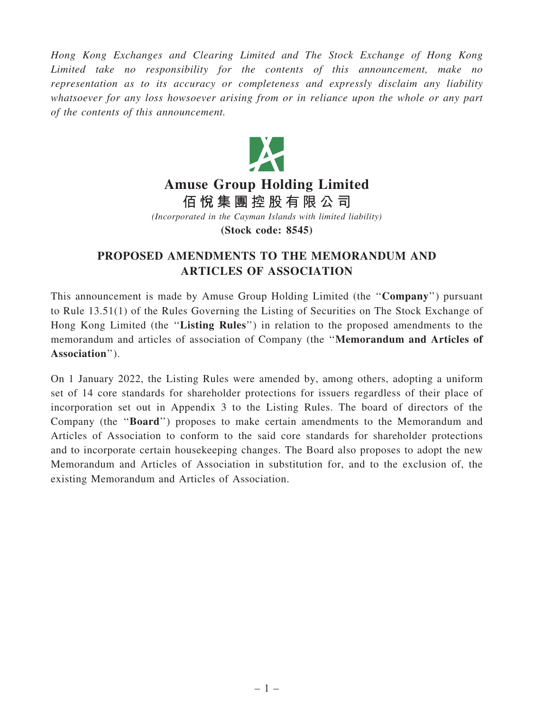Hong Kong Exchanges and Clearing Limited and The Stock Exchange of Hong Kong Limited take no responsibility for the contents of this announcement, make no representation as to its accuracy or completeness and expressly disclaim any liability whatsoever for any loss howsoever arising from or in reliance upon the whole or any part of the contents of this announcement.



## Amuse Group Holding Limited

佰 悅 集 團 控 股 有 限 公 司

(Incorporated in the Cayman Islands with limited liability)

(Stock code: 8545)

## PROPOSED AMENDMENTS TO THE MEMORANDUM AND ARTICLES OF ASSOCIATION

This announcement is made by Amuse Group Holding Limited (the ''Company'') pursuant to Rule 13.51(1) of the Rules Governing the Listing of Securities on The Stock Exchange of Hong Kong Limited (the "Listing Rules") in relation to the proposed amendments to the memorandum and articles of association of Company (the ''Memorandum and Articles of Association'').

On 1 January 2022, the Listing Rules were amended by, among others, adopting a uniform set of 14 core standards for shareholder protections for issuers regardless of their place of incorporation set out in Appendix 3 to the Listing Rules. The board of directors of the Company (the ''Board'') proposes to make certain amendments to the Memorandum and Articles of Association to conform to the said core standards for shareholder protections and to incorporate certain housekeeping changes. The Board also proposes to adopt the new Memorandum and Articles of Association in substitution for, and to the exclusion of, the existing Memorandum and Articles of Association.